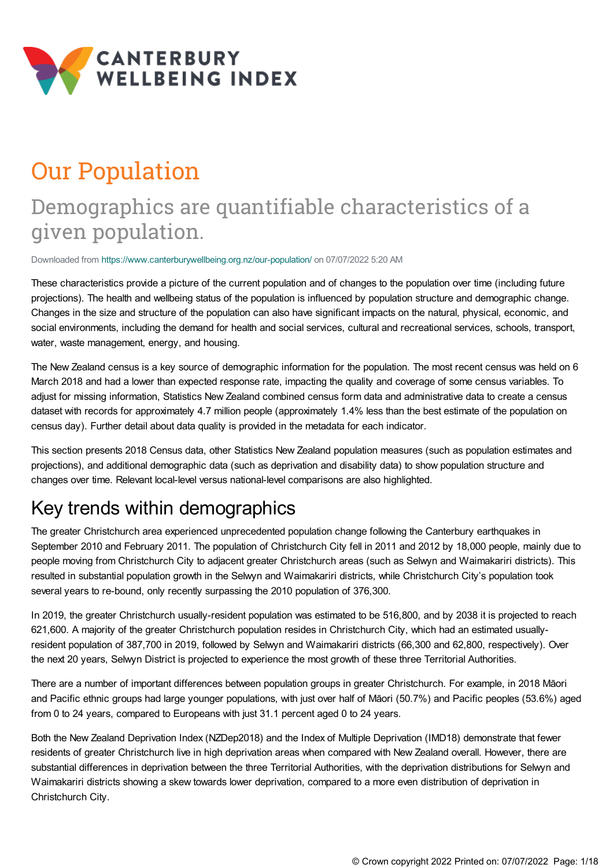

# Our Population

# Demographics are quantifiable characteristics of a given population.

Downloaded from <https://www.canterburywellbeing.org.nz/our-population/> on 07/07/2022 5:20 AM

These characteristics provide a picture of the current population and of changes to the population over time (including future projections). The health and wellbeing status of the population is influenced by population structure and demographic change. Changes in the size and structure of the population can also have significant impacts on the natural, physical, economic, and social environments, including the demand for health and social services, cultural and recreational services, schools, transport, water, waste management, energy, and housing.

The New Zealand census is a key source of demographic information for the population. The most recent census was held on 6 March 2018 and had a lower than expected response rate, impacting the quality and coverage of some census variables. To adjust for missing information, Statistics New Zealand combined census form data and administrative data to create a census dataset with records for approximately 4.7 million people (approximately 1.4% less than the best estimate of the population on census day). Further detail about data quality is provided in the metadata for each indicator.

This section presents 2018 Census data, other Statistics New Zealand population measures (such as population estimates and projections), and additional demographic data (such as deprivation and disability data) to show population structure and changes over time. Relevant local-level versus national-level comparisons are also highlighted.

# Key trends within demographics

The greater Christchurch area experienced unprecedented population change following the Canterbury earthquakes in September 2010 and February 2011. The population of Christchurch City fell in 2011 and 2012 by 18,000 people, mainly due to people moving from Christchurch City to adjacent greater Christchurch areas (such as Selwyn and Waimakariri districts). This resulted in substantial population growth in the Selwyn and Waimakariri districts, while Christchurch City's population took several years to re-bound, only recently surpassing the 2010 population of 376,300.

In 2019, the greater Christchurch usually-resident population was estimated to be 516,800, and by 2038 it is projected to reach 621,600. A majority of the greater Christchurch population resides in Christchurch City, which had an estimated usuallyresident population of 387,700 in 2019, followed by Selwyn and Waimakariri districts (66,300 and 62,800, respectively). Over the next 20 years, Selwyn District is projected to experience the most growth of these three Territorial Authorities.

There are a number of important differences between population groups in greater Christchurch. For example, in 2018 Māori and Pacific ethnic groups had large younger populations, with just over half of Māori (50.7%) and Pacific peoples (53.6%) aged from 0 to 24 years, compared to Europeans with just 31.1 percent aged 0 to 24 years.

Both the New Zealand Deprivation Index (NZDep2018) and the Index of Multiple Deprivation (IMD18) demonstrate that fewer residents of greater Christchurch live in high deprivation areas when compared with New Zealand overall. However, there are substantial differences in deprivation between the three Territorial Authorities, with the deprivation distributions for Selwyn and Waimakariri districts showing a skew towards lower deprivation, compared to a more even distribution of deprivation in Christchurch City.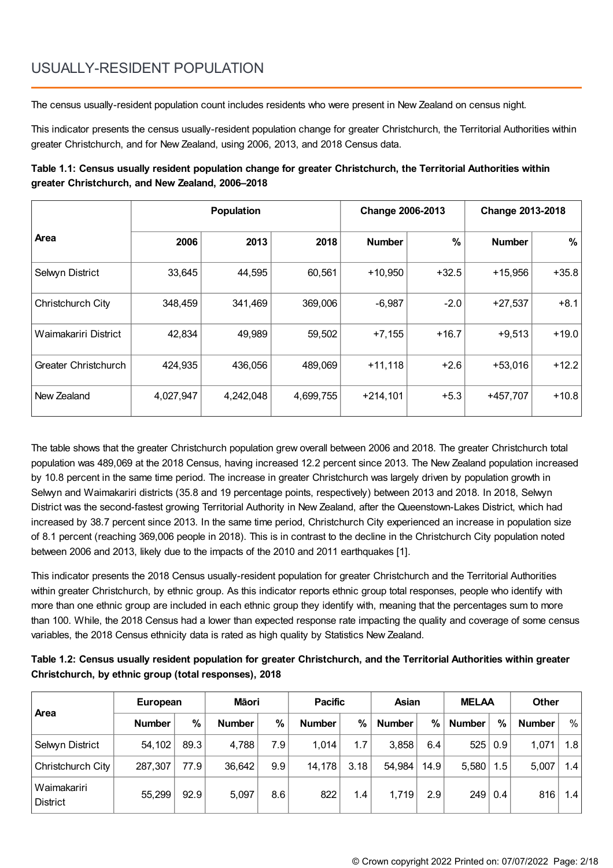# USUALLY-RESIDENT POPULATION

The census usually-resident population count includes residents who were present in New Zealand on census night.

This indicator presents the census usually-resident population change for greater Christchurch, the Territorial Authorities within greater Christchurch, and for New Zealand, using 2006, 2013, and 2018 Census data.

### **Table 1.1: Census usually resident population change for greater Christchurch, the Territorial Authorities within greater Christchurch, and New Zealand, 2006–2018**

|                      | <b>Population</b> |           |           | <b>Change 2006-2013</b> |               | <b>Change 2013-2018</b> |         |  |
|----------------------|-------------------|-----------|-----------|-------------------------|---------------|-------------------------|---------|--|
| <b>Area</b>          | 2006              | 2013      | 2018      | <b>Number</b>           | $\frac{0}{0}$ | <b>Number</b>           | %       |  |
| Selwyn District      | 33,645            | 44,595    | 60,561    | $+10,950$               | $+32.5$       | $+15,956$               | $+35.8$ |  |
| Christchurch City    | 348,459           | 341,469   | 369,006   | $-6,987$                | $-2.0$        | $+27,537$               | $+8.1$  |  |
| Waimakariri District | 42,834            | 49,989    | 59,502    | $+7,155$                | $+16.7$       | $+9,513$                | $+19.0$ |  |
| Greater Christchurch | 424,935           | 436,056   | 489,069   | $+11,118$               | $+2.6$        | $+53,016$               | $+12.2$ |  |
| New Zealand          | 4,027,947         | 4,242,048 | 4,699,755 | $+214,101$              | $+5.3$        | +457,707                | $+10.8$ |  |

The table shows that the greater Christchurch population grew overall between 2006 and 2018. The greater Christchurch total population was 489,069 at the 2018 Census, having increased 12.2 percent since 2013. The New Zealand population increased by 10.8 percent in the same time period. The increase in greater Christchurch was largely driven by population growth in Selwyn and Waimakariri districts (35.8 and 19 percentage points, respectively) between 2013 and 2018. In 2018, Selwyn District was the second-fastest growing Territorial Authority in New Zealand, after the Queenstown-Lakes District, which had increased by 38.7 percent since 2013. In the same time period, Christchurch City experienced an increase in population size of 8.1 percent (reaching 369,006 people in 2018). This is in contrast to the decline in the Christchurch City population noted between 2006 and 2013, likely due to the impacts of the 2010 and 2011 earthquakes [1].

This indicator presents the 2018 Census usually-resident population for greater Christchurch and the Territorial Authorities within greater Christchurch, by ethnic group. As this indicator reports ethnic group total responses, people who identify with more than one ethnic group are included in each ethnic group they identify with, meaning that the percentages sum to more than 100. While, the 2018 Census had a lower than expected response rate impacting the quality and coverage of some census variables, the 2018 Census ethnicity data is rated as high quality by Statistics New Zealand.

| Table 1.2: Census usually resident population for greater Christchurch, and the Territorial Authorities within greater |  |
|------------------------------------------------------------------------------------------------------------------------|--|
| Christchurch, by ethnic group (total responses), 2018                                                                  |  |

|                         | European      |      | Māori         |     | <b>Pacific</b> |      | Asian         |      | <b>MELAA</b>  |     | <b>Other</b>  |     |
|-------------------------|---------------|------|---------------|-----|----------------|------|---------------|------|---------------|-----|---------------|-----|
| ∣ Area                  | <b>Number</b> | %    | <b>Number</b> | %   | <b>Number</b>  | %    | <b>Number</b> | $\%$ | <b>Number</b> | %   | <b>Number</b> | %   |
| Selwyn District         | 54,102        | 89.3 | 4,788         | 7.9 | 1,014          | 1.7  | 3,858         | 6.4  | 525           | 0.9 | 1,071         | 1.8 |
| Christchurch City       | 287,307       | 77.9 | 36,642        | 9.9 | 14,178         | 3.18 | 54,984        | 14.9 | 5,580         | 1.5 | 5,007         | 1.4 |
| Waimakariri<br>District | 55,299        | 92.9 | 5,097         | 8.6 | 822            | 1.4  | 1,719         | 2.9  | 249           | 0.4 | 816           | 1.4 |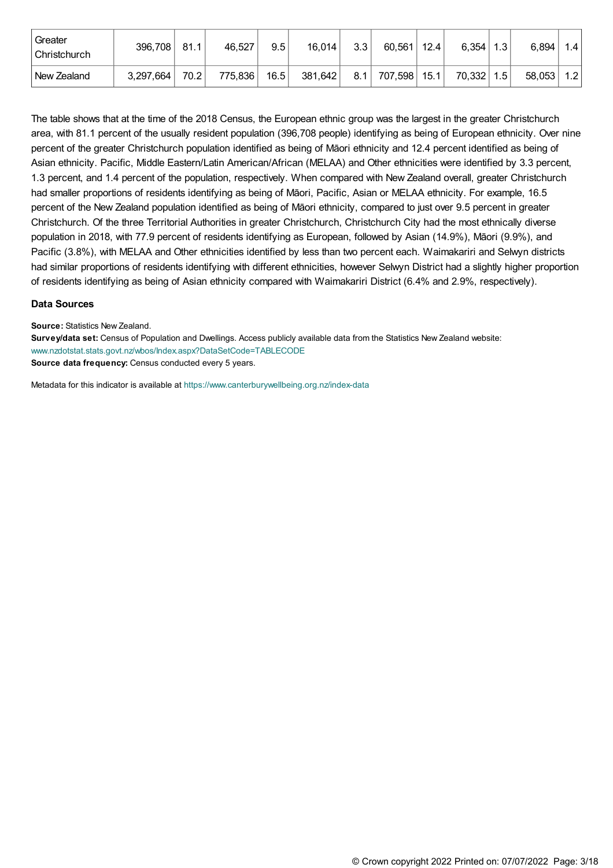| l Greater<br>l Christchurch | 396,708   | 81.1              | 46,527  | 9.5  | 16,014  | 3.3 | 60,561  | 12.4 | 6,354  | 1.3 | 6,894  | 1.4 <sub>l</sub> |
|-----------------------------|-----------|-------------------|---------|------|---------|-----|---------|------|--------|-----|--------|------------------|
| l New Zealand               | 3,297,664 | 70.2 <sub>1</sub> | 775,836 | 16.5 | 381,642 | 8.1 | 707,598 | 15.1 | 70,332 | 1.5 | 58,053 | 1.2              |

The table shows that at the time of the 2018 Census, the European ethnic group was the largest in the greater Christchurch area, with 81.1 percent of the usually resident population (396,708 people) identifying as being of European ethnicity. Over nine percent of the greater Christchurch population identified as being of Māori ethnicity and 12.4 percent identified as being of Asian ethnicity. Pacific, Middle Eastern/Latin American/African (MELAA) and Other ethnicities were identified by 3.3 percent, 1.3 percent, and 1.4 percent of the population, respectively. When compared with New Zealand overall, greater Christchurch had smaller proportions of residents identifying as being of Māori, Pacific, Asian or MELAA ethnicity. For example, 16.5 percent of the New Zealand population identified as being of Māori ethnicity, compared to just over 9.5 percent in greater Christchurch. Of the three Territorial Authorities in greater Christchurch, Christchurch City had the most ethnically diverse population in 2018, with 77.9 percent of residents identifying as European, followed by Asian (14.9%), Māori (9.9%), and Pacific (3.8%), with MELAA and Other ethnicities identified by less than two percent each. Waimakariri and Selwyn districts had similar proportions of residents identifying with different ethnicities, however Selwyn District had a slightly higher proportion of residents identifying as being of Asian ethnicity compared with Waimakariri District (6.4% and 2.9%, respectively).

#### **Data Sources**

**Source:** Statistics New Zealand.

**Survey/data set:** Census of Population and Dwellings. Access publicly available data from the Statistics New Zealand website: [www.nzdotstat.stats.govt.nz/wbos/Index.aspx?DataSetCode=TABLECODE](http://nzdotstat.stats.govt.nz/wbos/Index.aspx?DataSetCode=TABLECODE8021&_ga=2.144515317.1364761207.1560210517-1908992255.1555018022 ) **Source data frequency:** Census conducted every 5 years.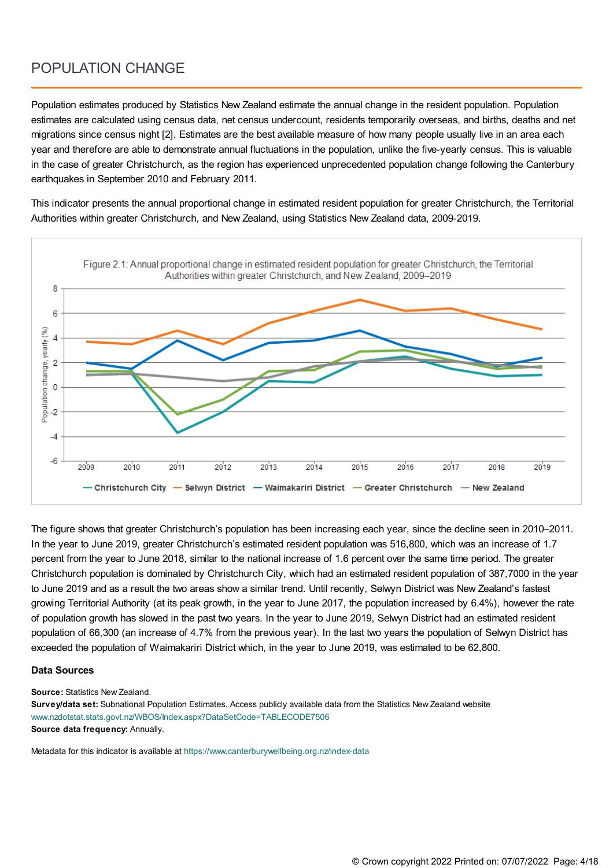### POPULATION CHANGE

Population estimates produced by Statistics New Zealand estimate the annual change in the resident population. Population estimates are calculated using census data, net census undercount, residents temporarily overseas, and births, deaths and net migrations since census night [2]. Estimates are the best available measure of how many people usually live in an area each year and therefore are able to demonstrate annual fluctuations in the population, unlike the five-yearly census. This is valuable in the case of greater Christchurch, as the region has experienced unprecedented population change following the Canterbury earthquakes in September 2010 and February 2011.

This indicator presents the annual proportional change in estimated resident population for greater Christchurch, the Territorial Authorities within greater Christchurch, and New Zealand, using Statistics New Zealand data, 2009-2019.



The figure shows that greater Christchurch's population has been increasing each year, since the decline seen in 2010–2011. In the year to June 2019, greater Christchurch's estimated resident population was 516,800, which was an increase of 1.7 percent from the year to June 2018, similar to the national increase of 1.6 percent over the same time period. The greater Christchurch population is dominated by Christchurch City, which had an estimated resident population of 387,7000 in the year to June 2019 and as a result the two areas show a similar trend. Until recently, Selwyn District was New Zealand's fastest growing Territorial Authority (at its peak growth, in the year to June 2017, the population increased by 6.4%), however the rate of population growth has slowed in the past two years. In the year to June 2019, Selwyn District had an estimated resident population of 66,300 (an increase of 4.7% from the previous year). In the last two years the population of Selwyn District has exceeded the population of Waimakariri District which, in the year to June 2019, was estimated to be 62,800.

#### **Data Sources**

**Source:** Statistics New Zealand.

**Survey/data set:** Subnational Population Estimates. Access publicly available data from the Statistics New Zealand website [www.nzdotstat.stats.govt.nz/WBOS/Index.aspx?DataSetCode=TABLECODE7506](http://nzdotstat.stats.govt.nz/WBOS/Index.aspx?DataSetCode=TABLECODE7506) **Source data frequency:** Annually.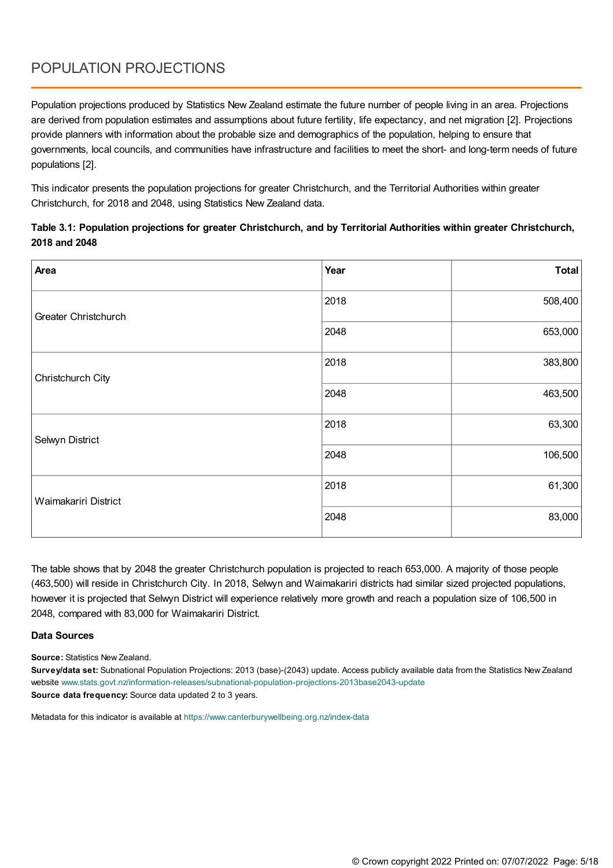# POPULATION PROJECTIONS

Population projections produced by Statistics New Zealand estimate the future number of people living in an area. Projections are derived from population estimates and assumptions about future fertility, life expectancy, and net migration [2]. Projections provide planners with information about the probable size and demographics of the population, helping to ensure that governments, local councils, and communities have infrastructure and facilities to meet the short- and long-term needs of future populations [2].

This indicator presents the population projections for greater Christchurch, and the Territorial Authorities within greater Christchurch, for 2018 and 2048, using Statistics New Zealand data.

### **Table 3.1: Population projections for greater Christchurch, and by Territorial Authorities within greater Christchurch, 2018 and 2048**

| Area                 | Year | Total   |
|----------------------|------|---------|
| Greater Christchurch | 2018 | 508,400 |
|                      | 2048 | 653,000 |
| Christchurch City    | 2018 | 383,800 |
|                      | 2048 | 463,500 |
| Selwyn District      | 2018 | 63,300  |
|                      | 2048 | 106,500 |
| Waimakariri District | 2018 | 61,300  |
|                      | 2048 | 83,000  |

The table shows that by 2048 the greater Christchurch population is projected to reach 653,000. A majority of those people (463,500) will reside in Christchurch City. In 2018, Selwyn and Waimakariri districts had similar sized projected populations, however it is projected that Selwyn District will experience relatively more growth and reach a population size of 106,500 in 2048, compared with 83,000 for Waimakariri District.

### **Data Sources**

**Source:** Statistics New Zealand.

**Survey/data set:** Subnational Population Projections: 2013 (base)-(2043) update. Access publicly available data from the Statistics New Zealand website [www.stats.govt.nz/information-releases/subnational-population-projections-2013base2043-update](https://www.stats.govt.nz/information-releases/subnational-population-projections-2013base2043-update) **Source data frequency:** Source data updated 2 to 3 years.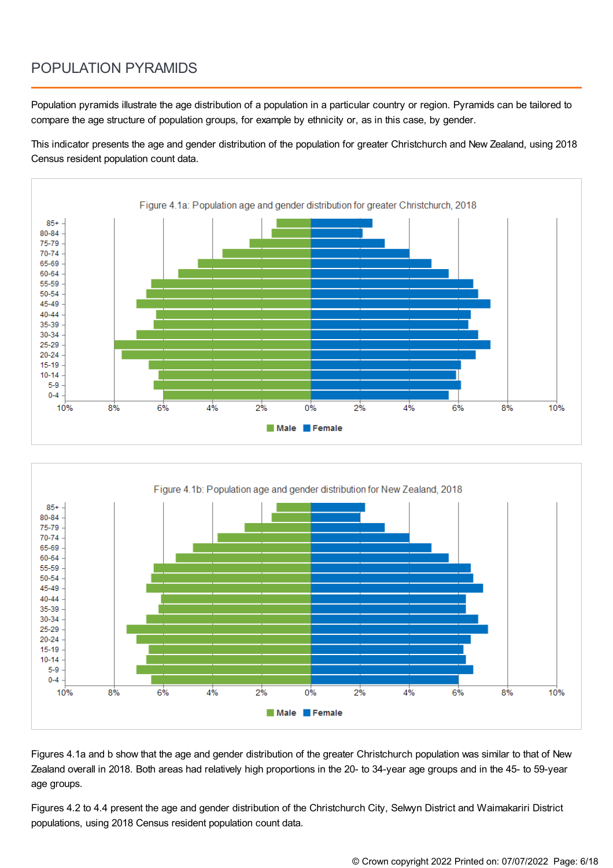## POPULATION PYRAMIDS

Population pyramids illustrate the age distribution of a population in a particular country or region. Pyramids can be tailored to compare the age structure of population groups, for example by ethnicity or, as in this case, by gender.

This indicator presents the age and gender distribution of the population for greater Christchurch and New Zealand, using 2018 Census resident population count data.





Figures 4.1a and b show that the age and gender distribution of the greater Christchurch population was similar to that of New Zealand overall in 2018. Both areas had relatively high proportions in the 20- to 34-year age groups and in the 45- to 59-year age groups.

Figures 4.2 to 4.4 present the age and gender distribution of the Christchurch City, Selwyn District and Waimakariri District populations, using 2018 Census resident population count data.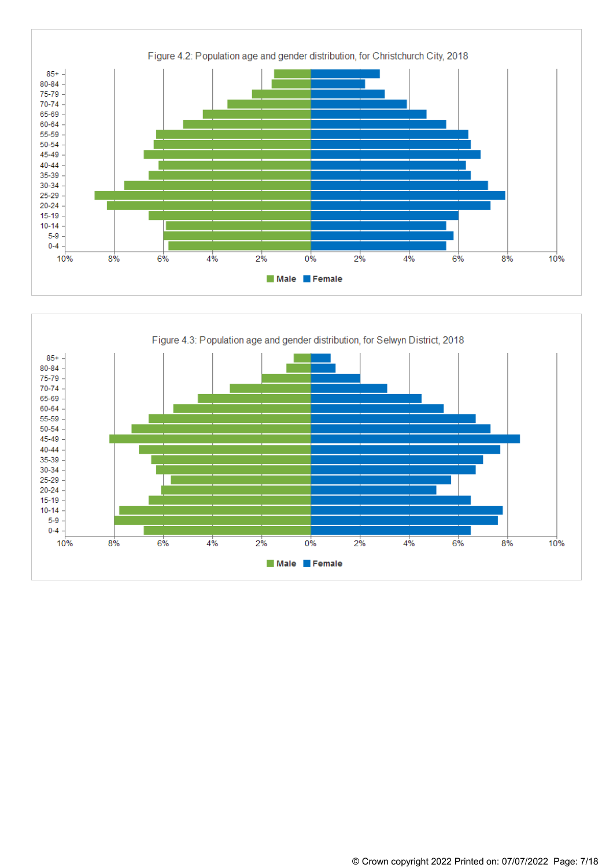

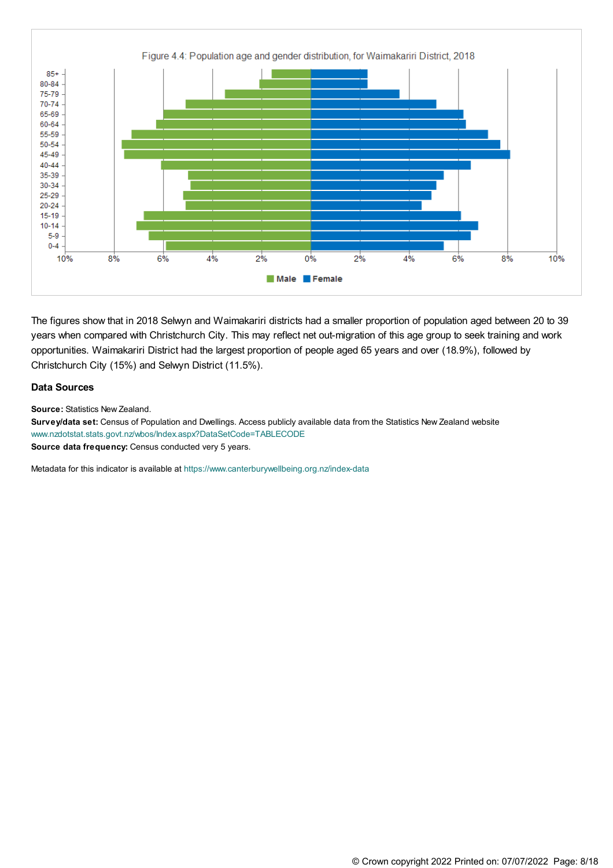

The figures show that in 2018 Selwyn and Waimakariri districts had a smaller proportion of population aged between 20 to 39 years when compared with Christchurch City. This may reflect net out-migration of this age group to seek training and work opportunities. Waimakariri District had the largest proportion of people aged 65 years and over (18.9%), followed by Christchurch City (15%) and Selwyn District (11.5%).

#### **Data Sources**

**Source:** Statistics New Zealand.

**Survey/data set:** Census of Population and Dwellings. Access publicly available data from the Statistics New Zealand website [www.nzdotstat.stats.govt.nz/wbos/Index.aspx?DataSetCode=TABLECODE](http://nzdotstat.stats.govt.nz/wbos/Index.aspx?DataSetCode=TABLECODE8021&_ga=2.144515317.1364761207.1560210517-1908992255.1555018022 ) **Source data frequency:** Census conducted very 5 years.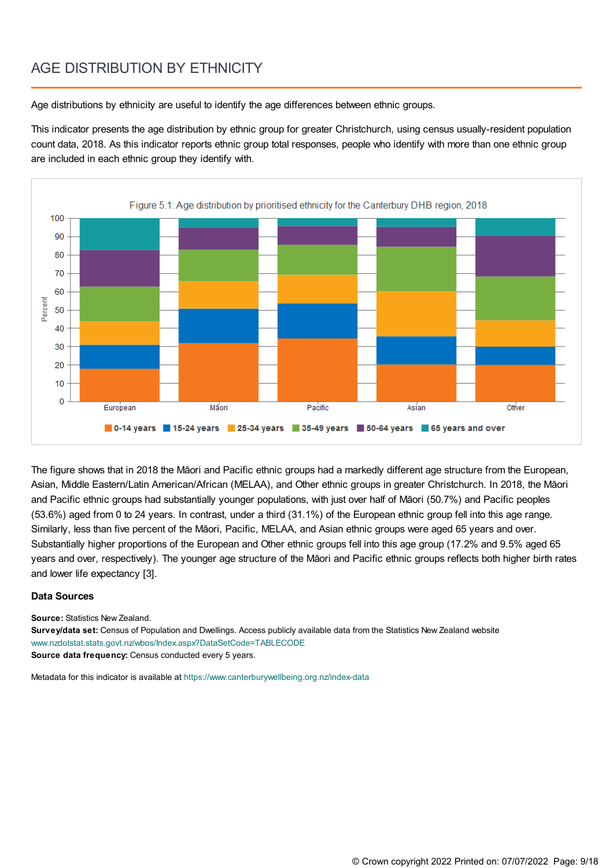### AGE DISTRIBUTION BY ETHNICITY

Age distributions by ethnicity are useful to identify the age differences between ethnic groups.

This indicator presents the age distribution by ethnic group for greater Christchurch, using census usually-resident population count data, 2018. As this indicator reports ethnic group total responses, people who identify with more than one ethnic group are included in each ethnic group they identify with.



The figure shows that in 2018 the Māori and Pacific ethnic groups had a markedly different age structure from the European, Asian, Middle Eastern/Latin American/African (MELAA), and Other ethnic groups in greater Christchurch. In 2018, the Māori and Pacific ethnic groups had substantially younger populations, with just over half of Māori (50.7%) and Pacific peoples (53.6%) aged from 0 to 24 years. In contrast, under a third (31.1%) of the European ethnic group fell into this age range. Similarly, less than five percent of the Māori, Pacific, MELAA, and Asian ethnic groups were aged 65 years and over. Substantially higher proportions of the European and Other ethnic groups fell into this age group (17.2% and 9.5% aged 65 years and over, respectively). The younger age structure of the Māori and Pacific ethnic groups reflects both higher birth rates and lower life expectancy [3].

### **Data Sources**

**Source:** Statistics New Zealand.

**Survey/data set:** Census of Population and Dwellings. Access publicly available data from the Statistics New Zealand website [www.nzdotstat.stats.govt.nz/wbos/Index.aspx?DataSetCode=TABLECODE](http://nzdotstat.stats.govt.nz/wbos/Index.aspx?DataSetCode=TABLECODE8021&_ga=2.144515317.1364761207.1560210517-1908992255.1555018022 ) **Source data frequency:** Census conducted every 5 years.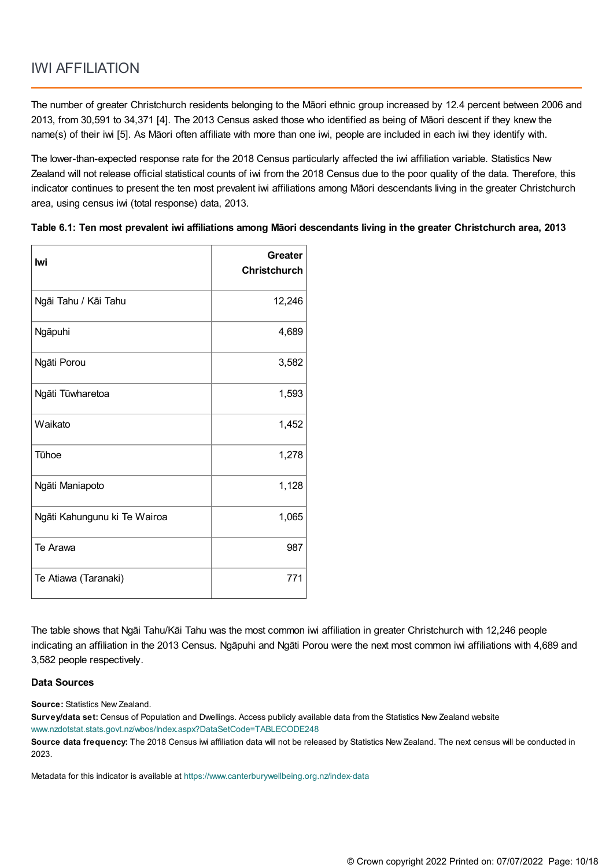The number of greater Christchurch residents belonging to the Māori ethnic group increased by 12.4 percent between 2006 and 2013, from 30,591 to 34,371 [4]. The 2013 Census asked those who identified as being of Māori descent if they knew the name(s) of their iwi [5]. As Māori often affiliate with more than one iwi, people are included in each iwi they identify with.

The lower-than-expected response rate for the 2018 Census particularly affected the iwi affiliation variable. Statistics New Zealand will not release official statistical counts of iwi from the 2018 Census due to the poor quality of the data. Therefore, this indicator continues to present the ten most prevalent iwi affiliations among Māori descendants living in the greater Christchurch area, using census iwi (total response) data, 2013.

| lwi                          | Greater<br><b>Christchurch</b> |
|------------------------------|--------------------------------|
| Ngāi Tahu / Kāi Tahu         | 12,246                         |
| Ngāpuhi                      | 4,689                          |
| Ngāti Porou                  | 3,582                          |
| Ngāti Tūwharetoa             | 1,593                          |
| l Waikato                    | 1,452                          |
| Tūhoe                        | 1,278                          |
| Ngāti Maniapoto              | 1,128                          |
| Ngāti Kahungunu ki Te Wairoa | 1,065                          |
| Te Arawa                     | 987                            |
| Te Atiawa (Taranaki)         | 771                            |

Table 6.1: Ten most prevalent iwi affiliations among Māori descendants living in the greater Christchurch area, 2013

The table shows that Ngāi Tahu/Kāi Tahu was the most common iwi affiliation in greater Christchurch with 12,246 people indicating an affiliation in the 2013 Census. Ngāpuhi and Ngāti Porou were the next most common iwi affiliations with 4,689 and 3,582 people respectively.

#### **Data Sources**

**Source:** Statistics New Zealand.

**Survey/data set:** Census of Population and Dwellings. Access publicly available data from the Statistics New Zealand website [www.nzdotstat.stats.govt.nz/wbos/Index.aspx?DataSetCode=TABLECODE248](http://nzdotstat.stats.govt.nz/wbos/Index.aspx?DataSetCode=TABLECODE248)

**Source data frequency:** The 2018 Census iwi affiliation data will not be released by Statistics New Zealand. The next census will be conducted in 2023.

Metadata for this indicator is available at [https://www.canterburywellbeing.org.nz/index-data](https://www.canterburywellbeing.org.nz/site-information/index-data)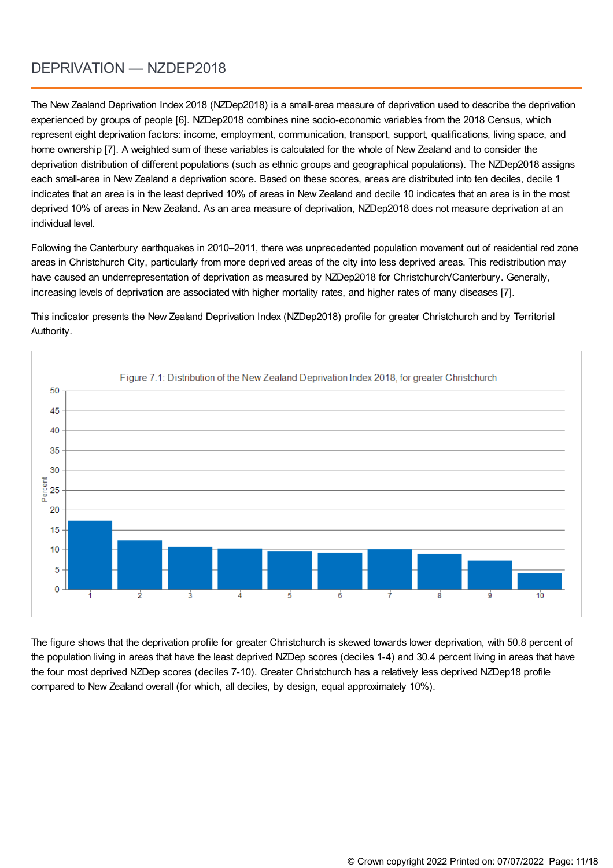## DEPRIVATION — NZDEP2018

The New Zealand Deprivation Index 2018 (NZDep2018) is a small-area measure of deprivation used to describe the deprivation experienced by groups of people [6]. NZDep2018 combines nine socio-economic variables from the 2018 Census, which represent eight deprivation factors: income, employment, communication, transport, support, qualifications, living space, and home ownership [7]. A weighted sum of these variables is calculated for the whole of New Zealand and to consider the deprivation distribution of different populations (such as ethnic groups and geographical populations). The NZDep2018 assigns each small-area in New Zealand a deprivation score. Based on these scores, areas are distributed into ten deciles, decile 1 indicates that an area is in the least deprived 10% of areas in New Zealand and decile 10 indicates that an area is in the most deprived 10% of areas in New Zealand. As an area measure of deprivation, NZDep2018 does not measure deprivation at an individual level.

Following the Canterbury earthquakes in 2010–2011, there was unprecedented population movement out of residential red zone areas in Christchurch City, particularly from more deprived areas of the city into less deprived areas. This redistribution may have caused an underrepresentation of deprivation as measured by NZDep2018 for Christchurch/Canterbury. Generally, increasing levels of deprivation are associated with higher mortality rates, and higher rates of many diseases [7].

This indicator presents the New Zealand Deprivation Index (NZDep2018) profile for greater Christchurch and by Territorial Authority.



The figure shows that the deprivation profile for greater Christchurch is skewed towards lower deprivation, with 50.8 percent of the population living in areas that have the least deprived NZDep scores (deciles 1-4) and 30.4 percent living in areas that have the four most deprived NZDep scores (deciles 7-10). Greater Christchurch has a relatively less deprived NZDep18 profile compared to New Zealand overall (for which, all deciles, by design, equal approximately 10%).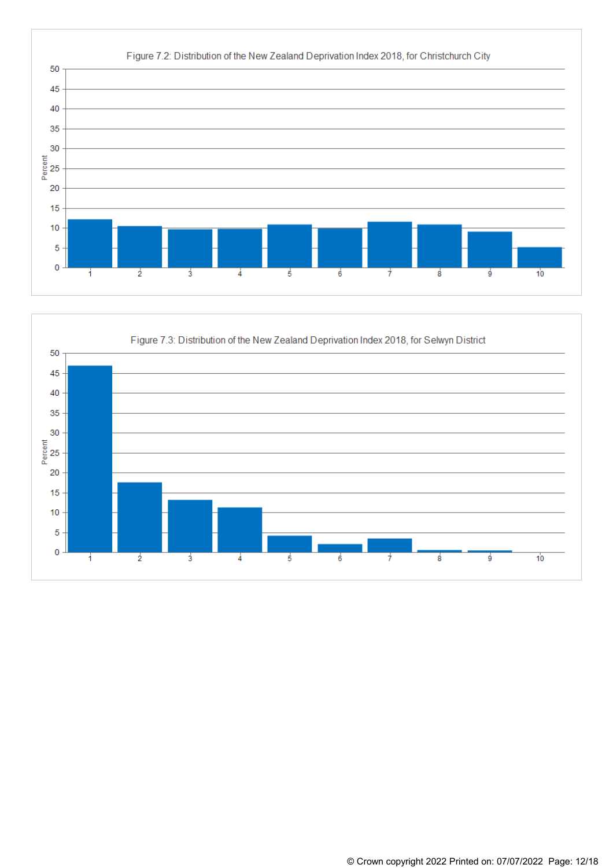

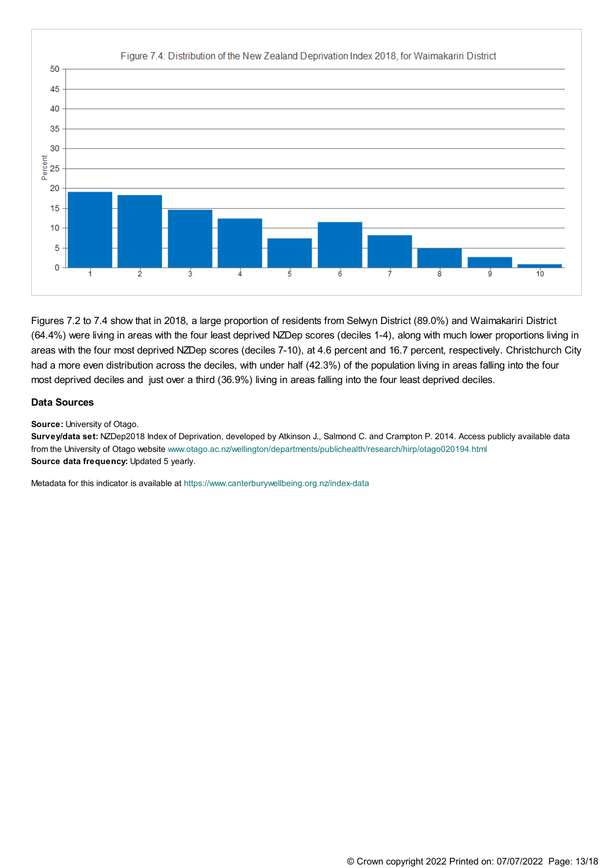

Figures 7.2 to 7.4 show that in 2018, a large proportion of residents from Selwyn District (89.0%) and Waimakariri District (64.4%) were living in areas with the four least deprived NZDep scores (deciles 1-4), along with much lower proportions living in areas with the four most deprived NZDep scores (deciles 7-10), at 4.6 percent and 16.7 percent, respectively. Christchurch City had a more even distribution across the deciles, with under half (42.3%) of the population living in areas falling into the four most deprived deciles and just over a third (36.9%) living in areas falling into the four least deprived deciles.

#### **Data Sources**

**Source:** University of Otago.

**Survey/data set:** NZDep2018 Index of Deprivation, developed by Atkinson J., Salmond C. and Crampton P. 2014. Access publicly available data from the University of Otago website [www.otago.ac.nz/wellington/departments/publichealth/research/hirp/otago020194.html](https://www.otago.ac.nz/wellington/departments/publichealth/research/hirp/otago020194.html ) **Source data frequency:** Updated 5 yearly.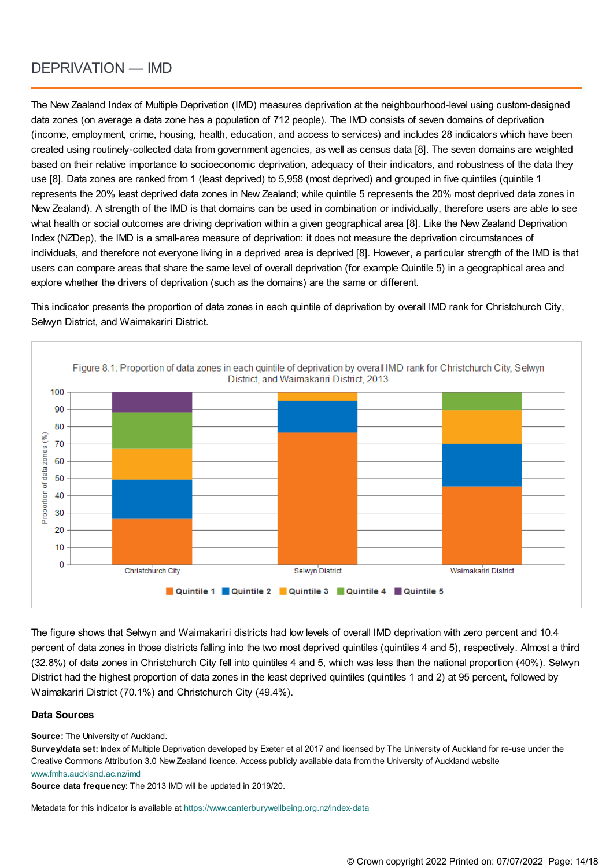### DEPRIVATION — IMD

The New Zealand Index of Multiple Deprivation (IMD) measures deprivation at the neighbourhood-level using custom-designed data zones (on average a data zone has a population of 712 people). The IMD consists of seven domains of deprivation (income, employment, crime, housing, health, education, and access to services) and includes 28 indicators which have been created using routinely-collected data from government agencies, as well as census data [8]. The seven domains are weighted based on their relative importance to socioeconomic deprivation, adequacy of their indicators, and robustness of the data they use [8]. Data zones are ranked from 1 (least deprived) to 5,958 (most deprived) and grouped in five quintiles (quintile 1 represents the 20% least deprived data zones in New Zealand; while quintile 5 represents the 20% most deprived data zones in New Zealand). A strength of the IMD is that domains can be used in combination or individually, therefore users are able to see what health or social outcomes are driving deprivation within a given geographical area [8]. Like the New Zealand Deprivation Index (NZDep), the IMD is a small-area measure of deprivation: it does not measure the deprivation circumstances of individuals, and therefore not everyone living in a deprived area is deprived [8]. However, a particular strength of the IMD is that users can compare areas that share the same level of overall deprivation (for example Quintile 5) in a geographical area and explore whether the drivers of deprivation (such as the domains) are the same or different.

This indicator presents the proportion of data zones in each quintile of deprivation by overall IMD rank for Christchurch City, Selwyn District, and Waimakariri District.



The figure shows that Selwyn and Waimakariri districts had low levels of overall IMD deprivation with zero percent and 10.4 percent of data zones in those districts falling into the two most deprived quintiles (quintiles 4 and 5), respectively. Almost a third (32.8%) of data zones in Christchurch City fell into quintiles 4 and 5, which was less than the national proportion (40%). Selwyn District had the highest proportion of data zones in the least deprived quintiles (quintiles 1 and 2) at 95 percent, followed by Waimakariri District (70.1%) and Christchurch City (49.4%).

#### **Data Sources**

**Source:** The University of Auckland.

**Survey/data set:** Index of Multiple Deprivation developed by Exeter et al 2017 and licensed by The University of Auckland for re-use under the Creative Commons Attribution 3.0 New Zealand licence. Access publicly available data from the University of Auckland website [www.fmhs.auckland.ac.nz/imd](http://www.fmhs.auckland.ac.nz/imd)

**Source data frequency:** The 2013 IMD will be updated in 2019/20.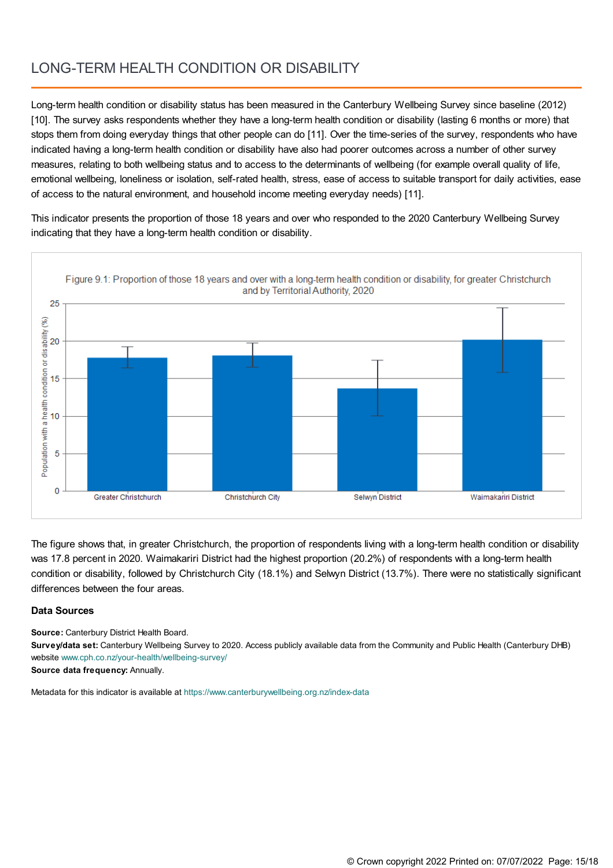# LONG-TERM HEALTH CONDITION OR DISABILITY

Long-term health condition or disability status has been measured in the Canterbury Wellbeing Survey since baseline (2012) [10]. The survey asks respondents whether they have a long-term health condition or disability (lasting 6 months or more) that stops them from doing everyday things that other people can do [11]. Over the time-series of the survey, respondents who have indicated having a long-term health condition or disability have also had poorer outcomes across a number of other survey measures, relating to both wellbeing status and to access to the determinants of wellbeing (for example overall quality of life, emotional wellbeing, loneliness or isolation, self-rated health, stress, ease of access to suitable transport for daily activities, ease of access to the natural environment, and household income meeting everyday needs) [11].

This indicator presents the proportion of those 18 years and over who responded to the 2020 Canterbury Wellbeing Survey indicating that they have a long-term health condition or disability.



The figure shows that, in greater Christchurch, the proportion of respondents living with a long-term health condition or disability was 17.8 percent in 2020. Waimakariri District had the highest proportion (20.2%) of respondents with a long-term health condition or disability, followed by Christchurch City (18.1%) and Selwyn District (13.7%). There were no statistically significant differences between the four areas.

### **Data Sources**

**Source:** Canterbury District Health Board.

**Survey/data set:** Canterbury Wellbeing Survey to 2020. Access publicly available data from the Community and Public Health (Canterbury DHB) website [www.cph.co.nz/your-health/wellbeing-survey/](https://www.cph.co.nz/your-health/wellbeing-survey/)

**Source data frequency:** Annually.

Metadata for this indicator is available at [https://www.canterburywellbeing.org.nz/index-data](https://www.canterburywellbeing.org.nz/site-information/index-data)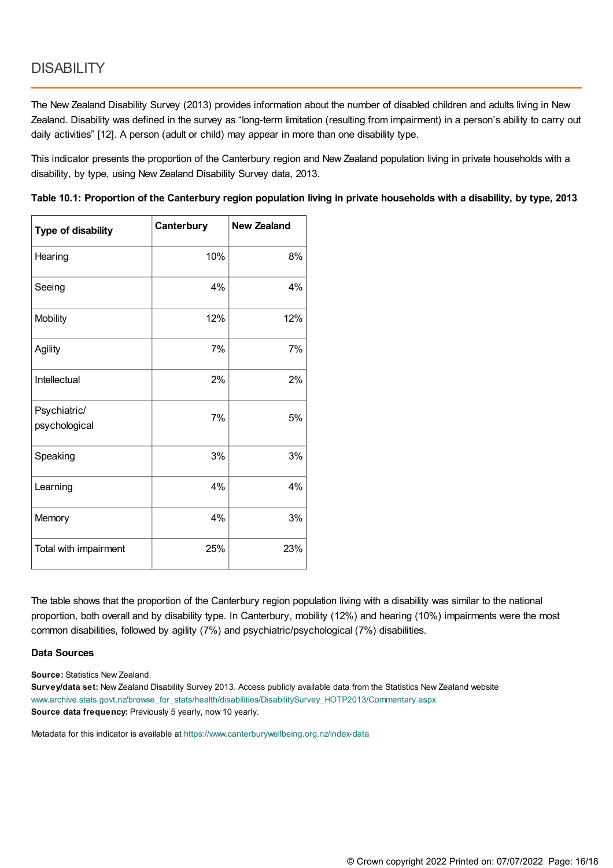The New Zealand Disability Survey (2013) provides information about the number of disabled children and adults living in New Zealand. Disability was defined in the survey as "long-term limitation (resulting from impairment) in a person's ability to carry out daily activities" [12]. A person (adult or child) may appear in more than one disability type.

This indicator presents the proportion of the Canterbury region and New Zealand population living in private households with a disability, by type, using New Zealand Disability Survey data, 2013.

Table 10.1: Proportion of the Canterbury region population living in private households with a disability, by type, 2013

| <b>Type of disability</b>     | Canterbury | <b>New Zealand</b> |
|-------------------------------|------------|--------------------|
| Hearing                       | 10%        | 8%                 |
| Seeing                        | 4%         | 4%                 |
| Mobility                      | 12%        | 12%                |
| Agility                       | 7%         | 7%                 |
| Intellectual                  | 2%         | 2%                 |
| Psychiatric/<br>psychological | 7%         | 5%                 |
| Speaking                      | 3%         | 3%                 |
| Learning                      | 4%         | 4%                 |
| Memory                        | 4%         | 3%                 |
| Total with impairment         | 25%        | 23%                |

The table shows that the proportion of the Canterbury region population living with a disability was similar to the national proportion, both overall and by disability type. In Canterbury, mobility (12%) and hearing (10%) impairments were the most common disabilities, followed by agility (7%) and psychiatric/psychological (7%) disabilities.

#### **Data Sources**

**Source:** Statistics New Zealand.

**Survey/data set:** New Zealand Disability Survey 2013. Access publicly available data from the Statistics New Zealand website [www.archive.stats.govt.nz/browse\\_for\\_stats/health/disabilities/DisabilitySurvey\\_HOTP2013/Commentary.aspx](http://archive.stats.govt.nz/browse_for_stats/health/disabilities/DisabilitySurvey_HOTP2013/Commentary.aspx) **Source data frequency:** Previously 5 yearly, now 10 yearly.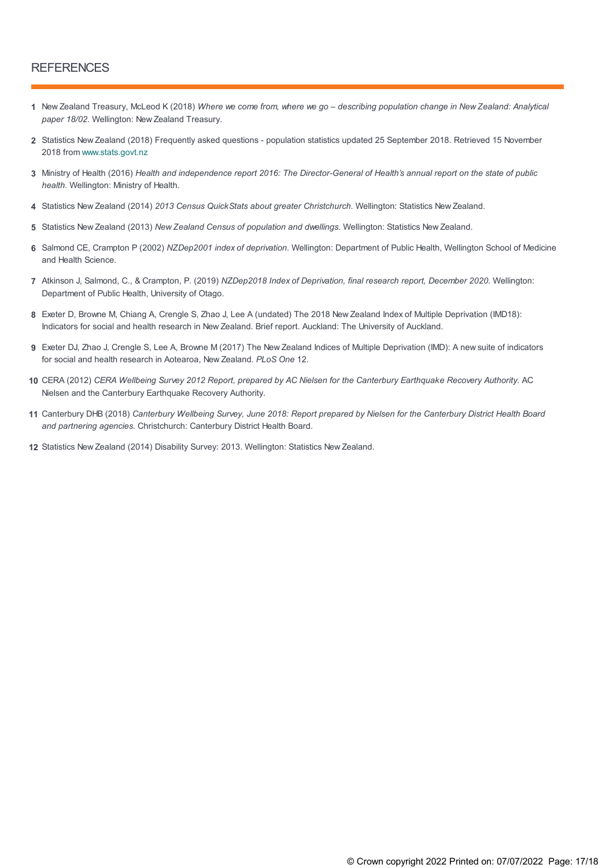### **REFERENCES**

- 1 New Zealand Treasury, McLeod K (2018) Where we come from, where we go describing population change in New Zealand: Analytical *paper 18/02*. Wellington: New Zealand Treasury.
- Statistics New Zealand (2018) Frequently asked questions population statistics updated 25 September 2018. Retrieved 15 November **2** 2018 from [www.stats.govt.nz](https://www.stats.govt.nz)
- 3 Ministry of Health (2016) Health and independence report 2016: The Director-General of Health's annual report on the state of public *health*. Wellington: Ministry of Health.
- **4** Statistics New Zealand (2014) *2013 Census QuickStats about greater Christchurch*. Wellington: Statistics New Zealand.
- **5** Statistics New Zealand (2013) *New Zealand Census of population and dwellings*. Wellington: Statistics New Zealand.
- Salmond CE, Crampton P (2002) *NZDep2001 index of deprivation*. Wellington: Department of Public Health, Wellington School of Medicine **6** and Health Science.
- Atkinson J, Salmond, C., & Crampton, P. (2019) *NZDep2018 Index of Deprivation, final research report, December 2020.* Wellington: **7** Department of Public Health, University of Otago.
- Exeter D, Browne M, Chiang A, Crengle S, Zhao J, Lee A (undated) The 2018 New Zealand Index of Multiple Deprivation (IMD18): **8** Indicators for social and health research in New Zealand. Brief report. Auckland: The University of Auckland.
- Exeter DJ, Zhao J, Crengle S, Lee A, Browne M (2017) The New Zealand Indices of Multiple Deprivation (IMD): A new suite of indicators **9** for social and health research in Aotearoa, New Zealand. *PLoS One* 12.
- 10 CERA (2012) CERA Wellbeing Survey 2012 Report, prepared by AC Nielsen for the Canterbury Earthquake Recovery Authority. AC Nielsen and the Canterbury Earthquake Recovery Authority.
- 11 Canterbury DHB (2018) Canterbury Wellbeing Survey, June 2018: Report prepared by Nielsen for the Canterbury District Health Board *and partnering agencies*. Christchurch: Canterbury District Health Board.
- **12** Statistics New Zealand (2014) Disability Survey: 2013. Wellington: Statistics New Zealand.